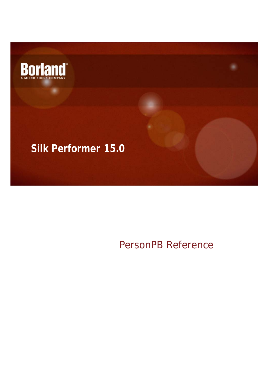

# **Silk Performer 15.0**

# PersonPB Reference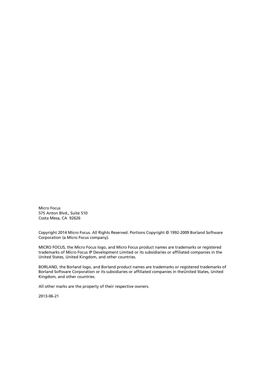Micro Focus 575 Anton Blvd., Suite 510 Costa Mesa, CA 92626

Copyright 2014 Micro Focus. All Rights Reserved. Portions Copyright © 1992-2009 Borland Software Corporation (a Micro Focus company).

MICRO FOCUS, the Micro Focus logo, and Micro Focus product names are trademarks or registered trademarks of Micro Focus IP Development Limited or its subsidiaries or affiliated companies in the United States, United Kingdom, and other countries.

BORLAND, the Borland logo, and Borland product names are trademarks or registered trademarks of Borland Software Corporation or its subsidiaries or affiliated companies in theUnited States, United Kingdom, and other countries.

All other marks are the property of their respective owners.

2013-06-21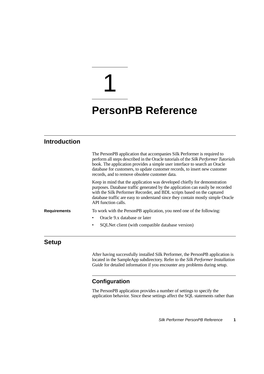# 1

# **PersonPB Reference**

# **Introduction**

|                     | The PersonPB application that accompanies Silk Performer is required to<br>perform all steps described in the Oracle tutorials of the Silk Performer Tutorials<br>book. The application provides a simple user interface to search an Oracle<br>database for customers, to update customer records, to insert new customer<br>records, and to remove obsolete customer data. |
|---------------------|------------------------------------------------------------------------------------------------------------------------------------------------------------------------------------------------------------------------------------------------------------------------------------------------------------------------------------------------------------------------------|
|                     | Keep in mind that the application was developed chiefly for demonstration<br>purposes. Database traffic generated by the application can easily be recorded<br>with the Silk Performer Recorder, and BDL scripts based on the captured<br>database traffic are easy to understand since they contain mostly simple Oracle<br>API function calls.                             |
| <b>Requirements</b> | To work with the PersonPB application, you need one of the following:                                                                                                                                                                                                                                                                                                        |
|                     | Oracle 9.x database or later                                                                                                                                                                                                                                                                                                                                                 |
|                     | SQLNet client (with compatible database version)                                                                                                                                                                                                                                                                                                                             |

# **Setup**

After having successfully installed Silk Performer, the PersonPB application is located in the SampleApp subdirectory. Refer to the *Silk Performer Installation Guide* for detailed information if you encounter any problems during setup.

# **Configuration**

The PersonPB application provides a number of settings to specify the application behavior. Since these settings affect the SQL statements rather than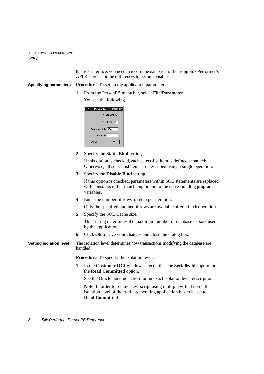the user interface, you need to record the database traffic using Silk Performer's API Recorder for the differences to become visible.

**Specifying parameters Procedure** To set up the application parameters:

**1** From the PersonPB menu bar, select **File/Parameter**. You see the following.

| $ .\ $ o $ $ x<br><b>SIDB</b> Parameter |
|-----------------------------------------|
| Static Bind <b>V</b>                    |
| Disable Bind $\Box$                     |
| Rows to fetch 100                       |
| SQL cache 0                             |
| Cancel<br>OK                            |

**2** Specify the **Static Bind** setting.

If this option is checked, each select-list item is defined separately. Otherwise, all select-list items are described using a single operation.

**3** Specify the **Disable Bind** setting.

If this option is checked, parameters within SQL statements are replaced with constants rather than being bound to the corresponding program variables.

**4** Enter the number of rows to fetch per iteration.

Only the specified number of rows are available after a fetch operation.

**5** Specify the SQL Cache size.

This setting determines the maximum number of database cursors used by the application.

**6** Click **Ok** to save your changes and close the dialog box.

#### **Setting isolation level** The isolation level determines how transactions modifying the database are handled.

**Procedure** To specify the isolation level:

**1** In the **Customer OCI** window, select either the **Serializable** option or the **Read Committed** option.

See the Oracle documentation for an exact isolation level description.

**Note** In order to replay a test script using multiple virtual users, the isolation level of the traffic-generating application has to be set to **Read Committed**.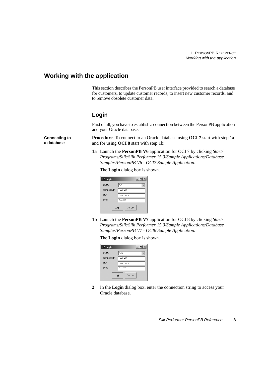## **Working with the application**

**Connecting to a database**

This section describes the PersonPB user interface provided to search a database for customers, to update customer records, to insert new customer records, and to remove obsolete customer data.

## **Login**

First of all, you have to establish a connection between the PersonPB application and your Oracle database.

**Procedure** To connect to an Oracle database using **OCI 7** start with step 1a and for using **OCI 8** start with step 1b:

**1a** Launch the **PersonPB V6** application for OCI 7 by clicking *Start/ Programs/Silk/Silk Performer 15.0/Sample Applications/Database Samples/PersonPB V6 - OCI7 Sample Application*.

The **Login** dialog box is shown.

| <sup>1</sup> Login | $ \Box$ $\times$ |
|--------------------|------------------|
| <b>DBMS</b>        | OCI              |
| ConnectStr         | orcinet2         |
| <b>LID</b>         | username         |
| <b>PVVD</b>        | ********         |
| Login              | Cancel           |

**1b** Launch the **PersonPB V7** application for OCI 8 by clicking *Start/ Programs/Silk/Silk Performer 15.0/Sample Applications/Database Samples/PersonPB V7 - OCI8 Sample Application*.

The **Login** dialog box is shown.

| login           | $\Box$   |  |
|-----------------|----------|--|
| <b>DBMS</b>     | 084      |  |
| ConnectStr      | orcinet2 |  |
| <b>LID</b>      | username |  |
| <b>PVVD</b>     | ******** |  |
| Login<br>Cancel |          |  |

**2** In the **Login** dialog box, enter the connection string to access your Oracle database.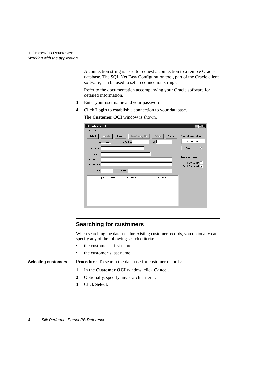A connection string is used to request a connection to a remote Oracle database. The SQL Net Easy Configuration tool, part of the Oracle client software, can be used to set up connection strings.

Refer to the documentation accompanying your Oracle software for detailed information.

- **3** Enter your user name and your password.
- **4** Click **Login** to establish a connection to your database.

The **Customer OCI** window is shown.

| <sup>3</sup> Customer OCI<br>Help<br>File                                                                     | $ \Box$ $\times$                                 |
|---------------------------------------------------------------------------------------------------------------|--------------------------------------------------|
| Cancel<br>Update<br>Insert using SP<br><b>Delete</b><br>Select<br>Insert<br>2001<br>Opening:<br>No:<br>Title: | <b>Stored procedure:</b><br>SP not existing!     |
| Firstname:                                                                                                    | Create<br>Drop                                   |
| Lastname:<br>Address 1:                                                                                       | <b>Isolation level:</b>                          |
| Address 2:                                                                                                    | Serializable <b>F</b><br>Read Committed <b>V</b> |
| District:<br>Zip:<br>Opening<br>Title<br>Firstname<br>Nr<br>Lastname                                          |                                                  |
|                                                                                                               |                                                  |
|                                                                                                               |                                                  |
|                                                                                                               |                                                  |

### **Searching for customers**

When searching the database for existing customer records, you optionally can specify any of the following search criteria:

- the customer's first name
- the customer's last name

**Selecting customers Procedure** To search the database for customer records:

- **1** In the **Customer OCI** window, click **Cancel**.
- **2** Optionally, specify any search criteria.
- **3** Click **Select**.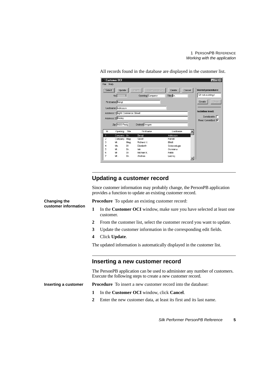| Help<br>File        | <b>Customer OCI</b>              |                                                      |                                | -10                                          |
|---------------------|----------------------------------|------------------------------------------------------|--------------------------------|----------------------------------------------|
| Select <sup>1</sup> | Update<br>No:                    | Insert using SP<br><b>Insert</b><br>Opening: Company | Cancel<br>Delete<br>Title: Dr. | <b>Stored procedure:</b><br>SP not existing! |
|                     | Firstname: Bengt                 |                                                      |                                | Create<br>Drop                               |
|                     | Lastname: Adkisson               |                                                      |                                |                                              |
|                     |                                  |                                                      |                                |                                              |
|                     | Address 1: Eight Commerce Street |                                                      |                                | <b>Isolation level:</b>                      |
|                     |                                  |                                                      |                                | Serializable $\Box$                          |
|                     | Address 2: Ensley                |                                                      |                                | Read Committed <b>I</b>                      |
|                     | Zip: 1605 Pasic                  | District: Oregon                                     |                                |                                              |
| Nr                  | Opening<br>Title                 | Firstname                                            | Lastname                       |                                              |
| 1                   | Company<br>Dr.                   | Bengt                                                | Adkisson                       |                                              |
| 2                   | Company<br>Mag.                  | Sarah                                                | Farrell                        |                                              |
| 3                   | Mr.<br>Mag.                      | Richard J.                                           | <b>Elliott</b>                 |                                              |
| 4                   | <b>DI</b><br>Ms.                 | Elizabeth                                            | Sciaccaluga                    |                                              |
| 5                   | Mr.<br>Dr.                       | lain                                                 | Ocneanu                        |                                              |
| 6                   | Mr.<br>DI.                       | Michael K.                                           | Patillo                        |                                              |

All records found in the database are displayed in the customer list.

## **Updating a customer record**

Since customer information may probably change, the PersonPB application provides a function to update an existing customer record.

**Procedure** To update an existing customer record:

- **1** In the **Customer OCI** window, make sure you have selected at least one customer.
- **2** From the customer list, select the customer record you want to update.
- **3** Update the customer information in the corresponding edit fields.
- **4** Click **Update**.

**Changing the**

**customer information**

The updated information is automatically displayed in the customer list.

#### **Inserting a new customer record**

The PersonPB application can be used to administer any number of customers. Execute the following steps to create a new customer record.

**Inserting a customer Procedure** To insert a new customer record into the database:

- **1** In the **Customer OCI** window, click **Cancel**.
- **2** Enter the new customer data, at least its first and its last name.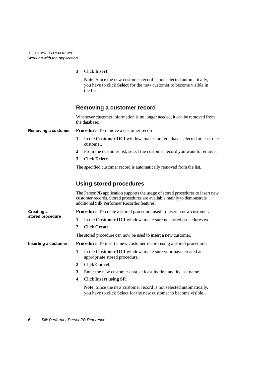**3** Click **Insert**.

**Note** Since the new customer record is not selected automatically, you have to click **Select** for the new customer to become visible in the list.

|                             | <b>Removing a customer record</b>                                                                                                                                                                         |  |  |  |
|-----------------------------|-----------------------------------------------------------------------------------------------------------------------------------------------------------------------------------------------------------|--|--|--|
|                             | Whenever customer information is no longer needed, it can be removed from<br>the database.                                                                                                                |  |  |  |
| Removing a customer         | <b>Procedure</b> To remove a customer record:                                                                                                                                                             |  |  |  |
|                             | In the Customer OCI window, make sure you have selected at least one<br>1<br>customer.                                                                                                                    |  |  |  |
|                             | From the customer list, select the customer record you want to remove.<br>2                                                                                                                               |  |  |  |
|                             | Click Delete.<br>3                                                                                                                                                                                        |  |  |  |
|                             | The specified customer record is automatically removed from the list.                                                                                                                                     |  |  |  |
|                             | <b>Using stored procedures</b>                                                                                                                                                                            |  |  |  |
|                             | The PersonPB application supports the usage of stored procedures to insert new<br>customer records. Stored procedures are available mainly to demonstrate<br>additional Silk Performer Recorder features. |  |  |  |
| Creating a                  | <b>Procedure</b> To create a stored procedure used to insert a new customer:                                                                                                                              |  |  |  |
| stored procedure            | In the Customer OCI window, make sure no stored procedures exist.<br>1                                                                                                                                    |  |  |  |
|                             | Click Create.<br>$\mathbf{2}$                                                                                                                                                                             |  |  |  |
|                             | The stored procedure can now be used to insert a new customer.                                                                                                                                            |  |  |  |
| <b>Inserting a customer</b> | <b>Procedure</b> To insert a new customer record using a stored procedure:                                                                                                                                |  |  |  |
|                             | In the Customer OCI window, make sure your have created an<br>1<br>appropriate stored procedure.                                                                                                          |  |  |  |
|                             | Click Cancel.<br>$\mathbf{2}$                                                                                                                                                                             |  |  |  |
|                             | 3<br>Enter the new customer data, at least its first and its last name.                                                                                                                                   |  |  |  |
|                             | <b>Click Insert using SP.</b><br>4                                                                                                                                                                        |  |  |  |
|                             | Note Since the new customer record is not selected automatically,<br>you have to click Select for the new customer to become visible.                                                                     |  |  |  |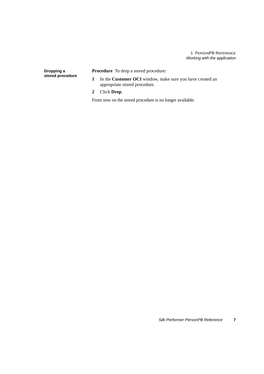**Dropping a stored procedure** **Procedure** To drop a stored procedure:

- **1** In the **Customer OCI** window, make sure you have created an appropriate stored procedure.
- **2** Click **Drop**.

From now on the stored procedure is no longer available.